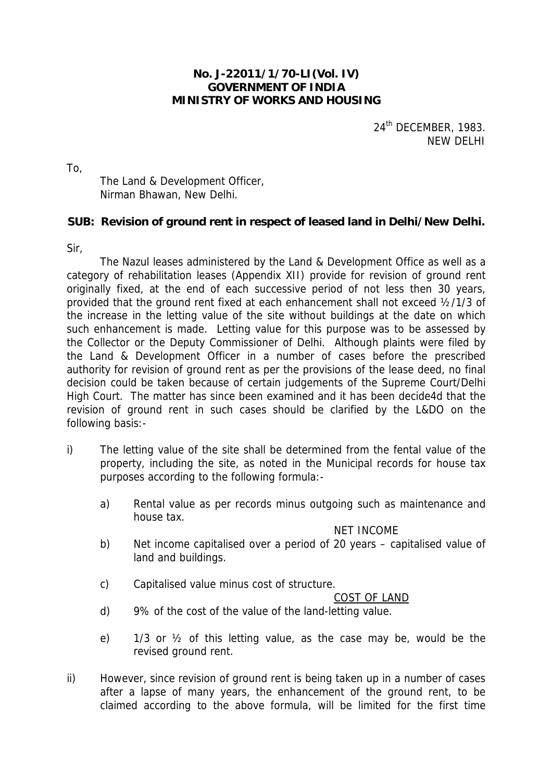## **No. J-22011/1/70-LI(Vol. IV) GOVERNMENT OF INDIA MINISTRY OF WORKS AND HOUSING**

24<sup>th</sup> DECEMBER, 1983. NEW DELHI

To,

The Land & Development Officer, Nirman Bhawan, New Delhi.

## **SUB: Revision of ground rent in respect of leased land in Delhi/New Delhi.**

Sir,

The Nazul leases administered by the Land & Development Office as well as a category of rehabilitation leases (Appendix XII) provide for revision of ground rent originally fixed, at the end of each successive period of not less then 30 years, provided that the ground rent fixed at each enhancement shall not exceed ½/1/3 of the increase in the letting value of the site without buildings at the date on which such enhancement is made. Letting value for this purpose was to be assessed by the Collector or the Deputy Commissioner of Delhi. Although plaints were filed by the Land & Development Officer in a number of cases before the prescribed authority for revision of ground rent as per the provisions of the lease deed, no final decision could be taken because of certain judgements of the Supreme Court/Delhi High Court. The matter has since been examined and it has been decide4d that the revision of ground rent in such cases should be clarified by the L&DO on the following basis:-

- i) The letting value of the site shall be determined from the fental value of the property, including the site, as noted in the Municipal records for house tax purposes according to the following formula:
	- a) Rental value as per records minus outgoing such as maintenance and house tax.

## NET INCOME

- b) Net income capitalised over a period of 20 years capitalised value of land and buildings.
- c) Capitalised value minus cost of structure.

## COST OF LAND

- d) 9% of the cost of the value of the land-letting value.
- e) 1/3 or  $\frac{1}{2}$  of this letting value, as the case may be, would be the revised ground rent.
- ii) However, since revision of ground rent is being taken up in a number of cases after a lapse of many years, the enhancement of the ground rent, to be claimed according to the above formula, will be limited for the first time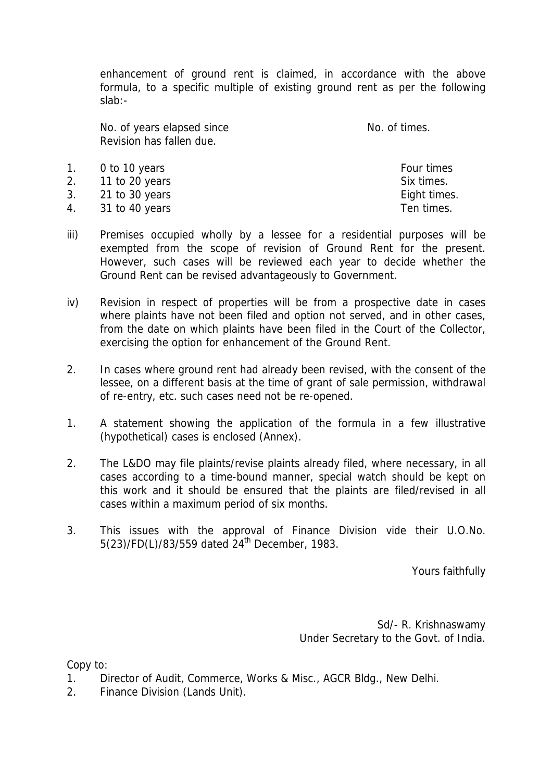enhancement of ground rent is claimed, in accordance with the above formula, to a specific multiple of existing ground rent as per the following slab:-

No. of years elapsed since No. of times. Revision has fallen due.

- 1. 0 to 10 years **Four times**
- 2. 11 to 20 years Six times.
- 3. 21 to 30 years **Eight times**.
- 4. 31 to 40 years Ten times.
- iii) Premises occupied wholly by a lessee for a residential purposes will be exempted from the scope of revision of Ground Rent for the present. However, such cases will be reviewed each year to decide whether the Ground Rent can be revised advantageously to Government.
- iv) Revision in respect of properties will be from a prospective date in cases where plaints have not been filed and option not served, and in other cases, from the date on which plaints have been filed in the Court of the Collector, exercising the option for enhancement of the Ground Rent.
- 2. In cases where ground rent had already been revised, with the consent of the lessee, on a different basis at the time of grant of sale permission, withdrawal of re-entry, etc. such cases need not be re-opened.
- 1. A statement showing the application of the formula in a few illustrative (hypothetical) cases is enclosed (Annex).
- 2. The L&DO may file plaints/revise plaints already filed, where necessary, in all cases according to a time-bound manner, special watch should be kept on this work and it should be ensured that the plaints are filed/revised in all cases within a maximum period of six months.
- 3. This issues with the approval of Finance Division vide their U.O.No. 5(23)/FD(L)/83/559 dated  $24^{th}$  December, 1983.

Yours faithfully

Sd/- R. Krishnaswamy Under Secretary to the Govt. of India.

Copy to:

- 1. Director of Audit, Commerce, Works & Misc., AGCR Bldg., New Delhi.
- 2. Finance Division (Lands Unit).